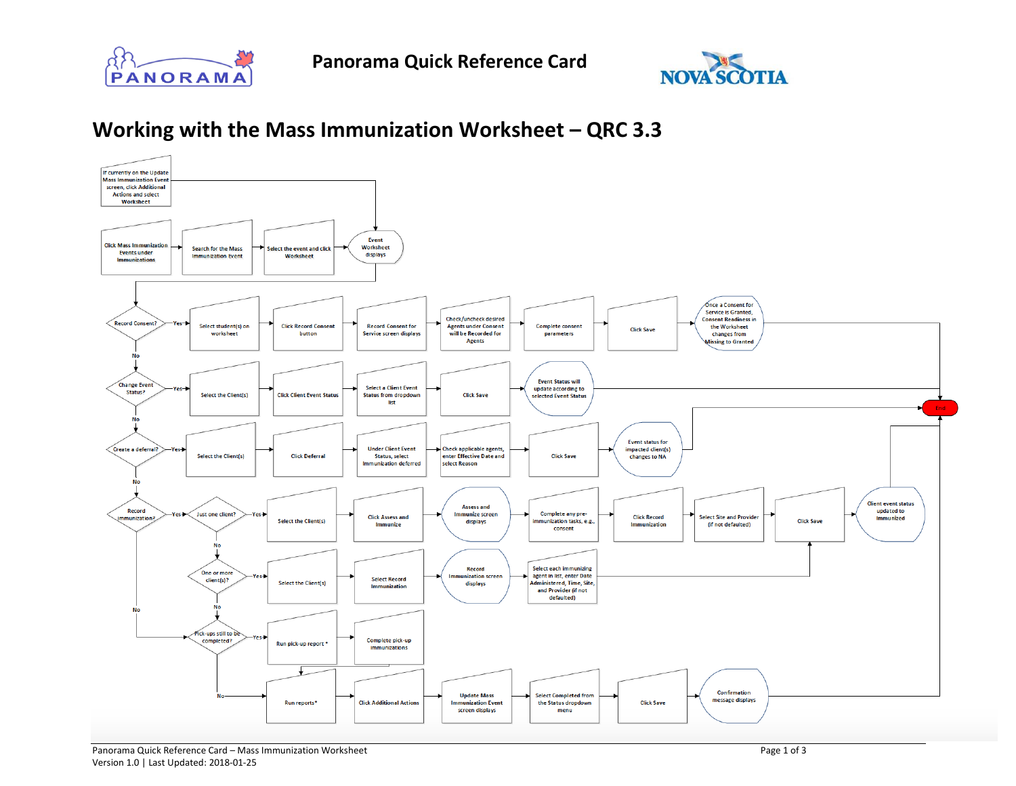



## **Working with the Mass Immunization Worksheet – QRC 3.3**

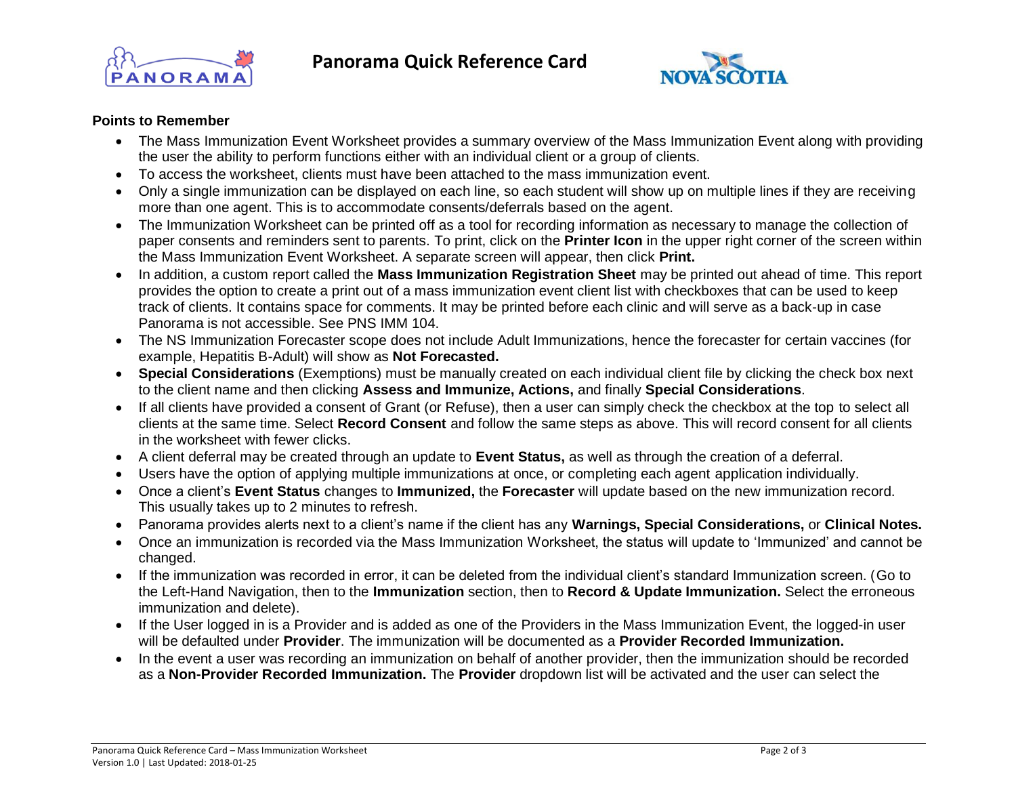



## **Points to Remember**

- The Mass Immunization Event Worksheet provides a summary overview of the Mass Immunization Event along with providing the user the ability to perform functions either with an individual client or a group of clients.
- To access the worksheet, clients must have been attached to the mass immunization event.
- Only a single immunization can be displayed on each line, so each student will show up on multiple lines if they are receiving more than one agent. This is to accommodate consents/deferrals based on the agent.
- The Immunization Worksheet can be printed off as a tool for recording information as necessary to manage the collection of paper consents and reminders sent to parents. To print, click on the **Printer Icon** in the upper right corner of the screen within the Mass Immunization Event Worksheet. A separate screen will appear, then click **Print.**
- In addition, a custom report called the **Mass Immunization Registration Sheet** may be printed out ahead of time. This report provides the option to create a print out of a mass immunization event client list with checkboxes that can be used to keep track of clients. It contains space for comments. It may be printed before each clinic and will serve as a back-up in case Panorama is not accessible. See PNS IMM 104.
- The NS Immunization Forecaster scope does not include Adult Immunizations, hence the forecaster for certain vaccines (for example, Hepatitis B-Adult) will show as **Not Forecasted.**
- **Special Considerations** (Exemptions) must be manually created on each individual client file by clicking the check box next to the client name and then clicking **Assess and Immunize, Actions,** and finally **Special Considerations**.
- If all clients have provided a consent of Grant (or Refuse), then a user can simply check the checkbox at the top to select all clients at the same time. Select **Record Consent** and follow the same steps as above. This will record consent for all clients in the worksheet with fewer clicks.
- A client deferral may be created through an update to **Event Status,** as well as through the creation of a deferral.
- Users have the option of applying multiple immunizations at once, or completing each agent application individually.
- Once a client's **Event Status** changes to **Immunized,** the **Forecaster** will update based on the new immunization record. This usually takes up to 2 minutes to refresh.
- Panorama provides alerts next to a client's name if the client has any **Warnings, Special Considerations,** or **Clinical Notes.**
- Once an immunization is recorded via the Mass Immunization Worksheet, the status will update to 'Immunized' and cannot be changed.
- If the immunization was recorded in error, it can be deleted from the individual client's standard Immunization screen. (Go to the Left-Hand Navigation, then to the **Immunization** section, then to **Record & Update Immunization.** Select the erroneous immunization and delete).
- If the User logged in is a Provider and is added as one of the Providers in the Mass Immunization Event, the logged-in user will be defaulted under **Provider**. The immunization will be documented as a **Provider Recorded Immunization.**
- In the event a user was recording an immunization on behalf of another provider, then the immunization should be recorded as a **Non-Provider Recorded Immunization.** The **Provider** dropdown list will be activated and the user can select the